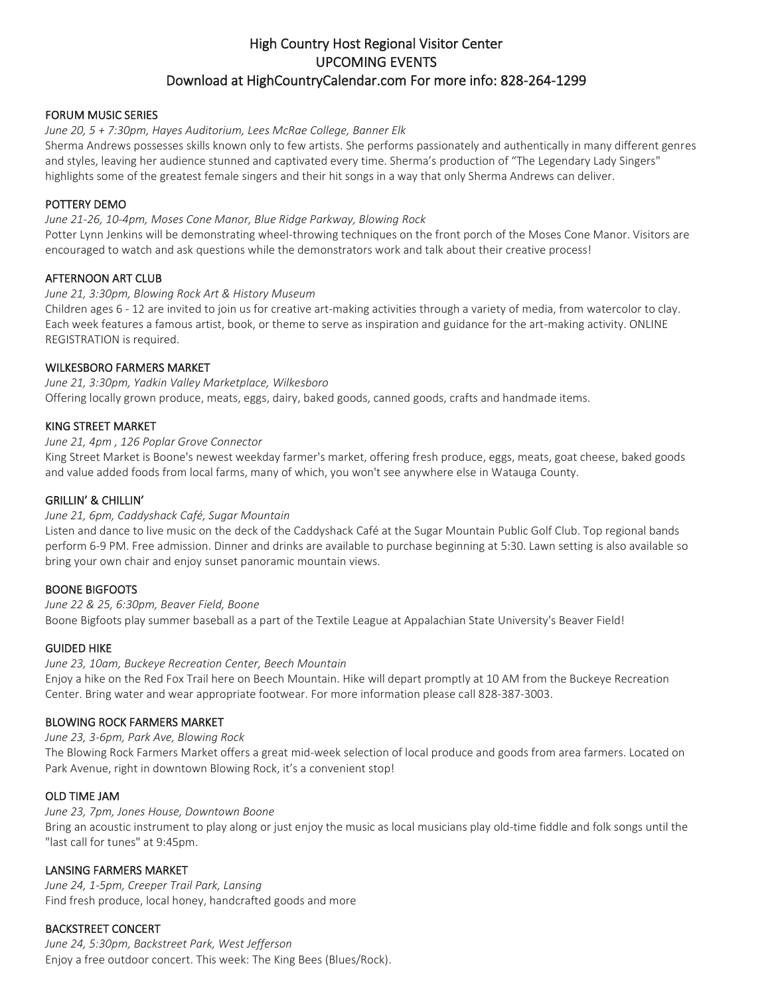# High Country Host Regional Visitor Center UPCOMING EVENTS Download at HighCountryCalendar.com For more info: 828-264-1299

# FORUM MUSIC SERIES

### *June 20, 5 + 7:30pm, Hayes Auditorium, Lees McRae College, Banner Elk*

Sherma Andrews possesses skills known only to few artists. She performs passionately and authentically in many different genres and styles, leaving her audience stunned and captivated every time. Sherma's production of "The Legendary Lady Singers" highlights some of the greatest female singers and their hit songs in a way that only Sherma Andrews can deliver.

# POTTERY DEMO

### *June 21-26, 10-4pm, Moses Cone Manor, Blue Ridge Parkway, Blowing Rock*

Potter Lynn Jenkins will be demonstrating wheel-throwing techniques on the front porch of the Moses Cone Manor. Visitors are encouraged to watch and ask questions while the demonstrators work and talk about their creative process!

# AFTERNOON ART CLUB

# *June 21, 3:30pm, Blowing Rock Art & History Museum*

Children ages 6 - 12 are invited to join us for creative art-making activities through a variety of media, from watercolor to clay. Each week features a famous artist, book, or theme to serve as inspiration and guidance for the art-making activity. ONLINE REGISTRATION is required.

# WILKESBORO FARMERS MARKET

*June 21, 3:30pm, Yadkin Valley Marketplace, Wilkesboro* Offering locally grown produce, meats, eggs, dairy, baked goods, canned goods, crafts and handmade items.

# KING STREET MARKET

# *June 21, 4pm , 126 Poplar Grove Connector*

King Street Market is Boone's newest weekday farmer's market, offering fresh produce, eggs, meats, goat cheese, baked goods and value added foods from local farms, many of which, you won't see anywhere else in Watauga County.

# GRILLIN' & CHILLIN'

#### *June 21, 6pm, Caddyshack Café, Sugar Mountain*

Listen and dance to live music on the deck of the Caddyshack Café at the Sugar Mountain Public Golf Club. Top regional bands perform 6-9 PM. Free admission. Dinner and drinks are available to purchase beginning at 5:30. Lawn setting is also available so bring your own chair and enjoy sunset panoramic mountain views.

# BOONE BIGFOOTS

# *June 22 & 25, 6:30pm, Beaver Field, Boone* Boone Bigfoots play summer baseball as a part of the Textile League at Appalachian State University's Beaver Field!

# GUIDED HIKE

*June 23, 10am, Buckeye Recreation Center, Beech Mountain* Enjoy a hike on the Red Fox Trail here on Beech Mountain. Hike will depart promptly at 10 AM from the Buckeye Recreation Center. Bring water and wear appropriate footwear. For more information please call 828-387-3003.

# BLOWING ROCK FARMERS MARKET

*June 23, 3-6pm, Park Ave, Blowing Rock*

The Blowing Rock Farmers Market offers a great mid-week selection of local produce and goods from area farmers. Located on Park Avenue, right in downtown Blowing Rock, it's a convenient stop!

# OLD TIME JAM

# *June 23, 7pm, Jones House, Downtown Boone*

Bring an acoustic instrument to play along or just enjoy the music as local musicians play old-time fiddle and folk songs until the "last call for tunes" at 9:45pm.

# LANSING FARMERS MARKET

*June 24, 1-5pm, Creeper Trail Park, Lansing* Find fresh produce, local honey, handcrafted goods and more

# BACKSTREET CONCERT

*June 24, 5:30pm, Backstreet Park, West Jefferson* Enjoy a free outdoor concert. This week: The King Bees (Blues/Rock).